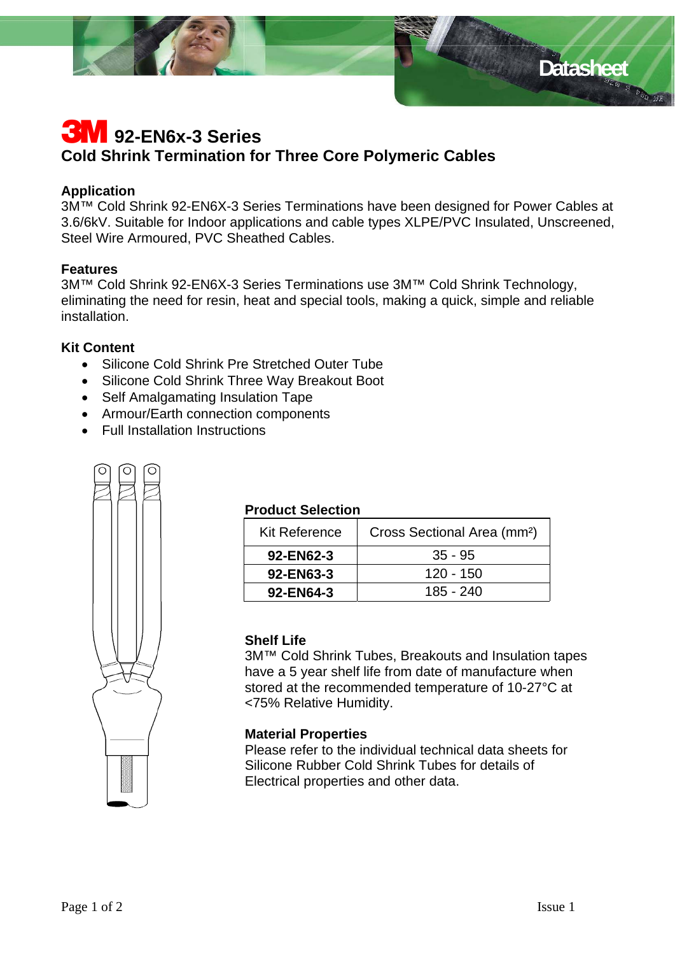

# **3M** 92-EN6x-3 Series **Cold Shrink Termination for Three Core Polymeric Cables**

# **Application**

3M™ Cold Shrink 92-EN6X-3 Series Terminations have been designed for Power Cables at 3.6/6kV. Suitable for Indoor applications and cable types XLPE/PVC Insulated, Unscreened, Steel Wire Armoured, PVC Sheathed Cables.

# **Features**

3M™ Cold Shrink 92-EN6X-3 Series Terminations use 3M™ Cold Shrink Technology, eliminating the need for resin, heat and special tools, making a quick, simple and reliable installation.

# **Kit Content**

- Silicone Cold Shrink Pre Stretched Outer Tube
- Silicone Cold Shrink Three Way Breakout Boot
- Self Amalgamating Insulation Tape
- Armour/Earth connection components
- Full Installation Instructions



# **Product Selection**

| <b>Kit Reference</b> | Cross Sectional Area (mm <sup>2</sup> ) |
|----------------------|-----------------------------------------|
| 92-EN62-3            | $35 - 95$                               |
| 92-EN63-3            | 120 - 150                               |
| 92-EN64-3            | 185 - 240                               |

### **Shelf Life**

3M™ Cold Shrink Tubes, Breakouts and Insulation tapes have a 5 year shelf life from date of manufacture when stored at the recommended temperature of 10-27°C at <75% Relative Humidity.

#### **Material Properties**

Please refer to the individual technical data sheets for Silicone Rubber Cold Shrink Tubes for details of Electrical properties and other data.